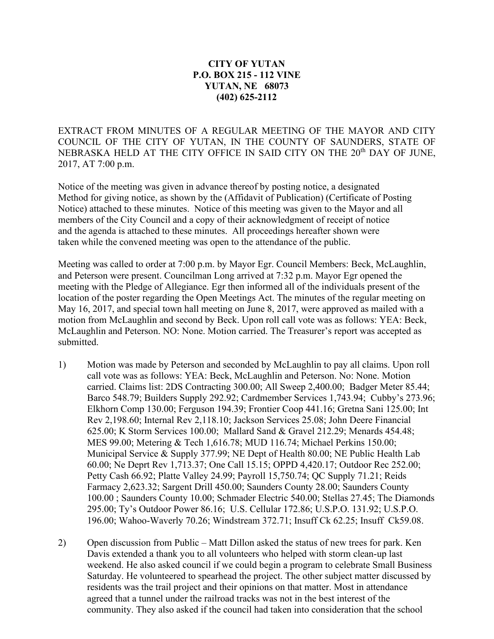## **CITY OF YUTAN P.O. BOX 215 - 112 VINE YUTAN, NE 68073 (402) 625-2112**

EXTRACT FROM MINUTES OF A REGULAR MEETING OF THE MAYOR AND CITY COUNCIL OF THE CITY OF YUTAN, IN THE COUNTY OF SAUNDERS, STATE OF NEBRASKA HELD AT THE CITY OFFICE IN SAID CITY ON THE 20<sup>th</sup> DAY OF JUNE, 2017, AT 7:00 p.m.

Notice of the meeting was given in advance thereof by posting notice, a designated Method for giving notice, as shown by the (Affidavit of Publication) (Certificate of Posting Notice) attached to these minutes. Notice of this meeting was given to the Mayor and all members of the City Council and a copy of their acknowledgment of receipt of notice and the agenda is attached to these minutes. All proceedings hereafter shown were taken while the convened meeting was open to the attendance of the public.

Meeting was called to order at 7:00 p.m. by Mayor Egr. Council Members: Beck, McLaughlin, and Peterson were present. Councilman Long arrived at 7:32 p.m. Mayor Egr opened the meeting with the Pledge of Allegiance. Egr then informed all of the individuals present of the location of the poster regarding the Open Meetings Act. The minutes of the regular meeting on May 16, 2017, and special town hall meeting on June 8, 2017, were approved as mailed with a motion from McLaughlin and second by Beck. Upon roll call vote was as follows: YEA: Beck, McLaughlin and Peterson. NO: None. Motion carried. The Treasurer's report was accepted as submitted.

- 1) Motion was made by Peterson and seconded by McLaughlin to pay all claims. Upon roll call vote was as follows: YEA: Beck, McLaughlin and Peterson. No: None. Motion carried. Claims list: 2DS Contracting 300.00; All Sweep 2,400.00; Badger Meter 85.44; Barco 548.79; Builders Supply 292.92; Cardmember Services 1,743.94; Cubby's 273.96; Elkhorn Comp 130.00; Ferguson 194.39; Frontier Coop 441.16; Gretna Sani 125.00; Int Rev 2,198.60; Internal Rev 2,118.10; Jackson Services 25.08; John Deere Financial 625.00; K Storm Services 100.00; Mallard Sand & Gravel 212.29; Menards 454.48; MES 99.00; Metering & Tech 1,616.78; MUD 116.74; Michael Perkins 150.00; Municipal Service & Supply 377.99; NE Dept of Health 80.00; NE Public Health Lab 60.00; Ne Deprt Rev 1,713.37; One Call 15.15; OPPD 4,420.17; Outdoor Rec 252.00; Petty Cash 66.92; Platte Valley 24.99; Payroll 15,750.74; QC Supply 71.21; Reids Farmacy 2,623.32; Sargent Drill 450.00; Saunders County 28.00; Saunders County 100.00 ; Saunders County 10.00; Schmader Electric 540.00; Stellas 27.45; The Diamonds 295.00; Ty's Outdoor Power 86.16; U.S. Cellular 172.86; U.S.P.O. 131.92; U.S.P.O. 196.00; Wahoo-Waverly 70.26; Windstream 372.71; Insuff Ck 62.25; Insuff Ck59.08.
- 2) Open discussion from Public Matt Dillon asked the status of new trees for park. Ken Davis extended a thank you to all volunteers who helped with storm clean-up last weekend. He also asked council if we could begin a program to celebrate Small Business Saturday. He volunteered to spearhead the project. The other subject matter discussed by residents was the trail project and their opinions on that matter. Most in attendance agreed that a tunnel under the railroad tracks was not in the best interest of the community. They also asked if the council had taken into consideration that the school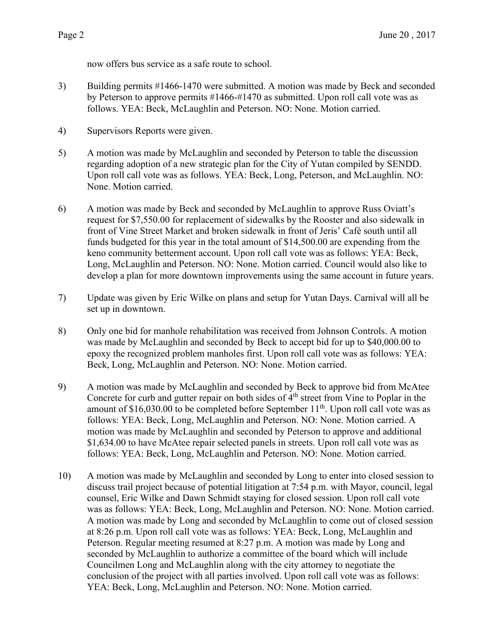now offers bus service as a safe route to school.

- 3) Building permits #1466-1470 were submitted. A motion was made by Beck and seconded by Peterson to approve permits #1466-#1470 as submitted. Upon roll call vote was as follows. YEA: Beck, McLaughlin and Peterson. NO: None. Motion carried.
- 4) Supervisors Reports were given.
- 5) A motion was made by McLaughlin and seconded by Peterson to table the discussion regarding adoption of a new strategic plan for the City of Yutan compiled by SENDD. Upon roll call vote was as follows. YEA: Beck, Long, Peterson, and McLaughlin. NO: None. Motion carried.
- 6) A motion was made by Beck and seconded by McLaughlin to approve Russ Oviatt's request for \$7,550.00 for replacement of sidewalks by the Rooster and also sidewalk in front of Vine Street Market and broken sidewalk in front of Jeris' Café south until all funds budgeted for this year in the total amount of \$14,500.00 are expending from the keno community betterment account. Upon roll call vote was as follows: YEA: Beck, Long, McLaughlin and Peterson. NO: None. Motion carried. Council would also like to develop a plan for more downtown improvements using the same account in future years.
- 7) Update was given by Eric Wilke on plans and setup for Yutan Days. Carnival will all be set up in downtown.
- 8) Only one bid for manhole rehabilitation was received from Johnson Controls. A motion was made by McLaughlin and seconded by Beck to accept bid for up to \$40,000.00 to epoxy the recognized problem manholes first. Upon roll call vote was as follows: YEA: Beck, Long, McLaughlin and Peterson. NO: None. Motion carried.
- 9) A motion was made by McLaughlin and seconded by Beck to approve bid from McAtee Concrete for curb and gutter repair on both sides of  $4<sup>th</sup>$  street from Vine to Poplar in the amount of  $$16,030.00$  to be completed before September  $11<sup>th</sup>$ . Upon roll call vote was as follows: YEA: Beck, Long, McLaughlin and Peterson. NO: None. Motion carried. A motion was made by McLaughlin and seconded by Peterson to approve and additional \$1,634.00 to have McAtee repair selected panels in streets. Upon roll call vote was as follows: YEA: Beck, Long, McLaughlin and Peterson. NO: None. Motion carried.
- 10) A motion was made by McLaughlin and seconded by Long to enter into closed session to discuss trail project because of potential litigation at 7:54 p.m. with Mayor, council, legal counsel, Eric Wilke and Dawn Schmidt staying for closed session. Upon roll call vote was as follows: YEA: Beck, Long, McLaughlin and Peterson. NO: None. Motion carried. A motion was made by Long and seconded by McLaughlin to come out of closed session at 8:26 p.m. Upon roll call vote was as follows: YEA: Beck, Long, McLaughlin and Peterson. Regular meeting resumed at 8:27 p.m. A motion was made by Long and seconded by McLaughlin to authorize a committee of the board which will include Councilmen Long and McLaughlin along with the city attorney to negotiate the conclusion of the project with all parties involved. Upon roll call vote was as follows: YEA: Beck, Long, McLaughlin and Peterson. NO: None. Motion carried.